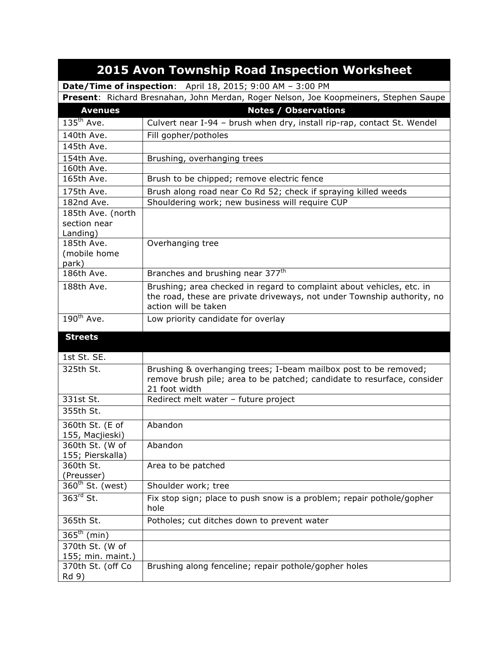| <b>2015 Avon Township Road Inspection Worksheet</b>               |                                                                                                                                                                          |  |
|-------------------------------------------------------------------|--------------------------------------------------------------------------------------------------------------------------------------------------------------------------|--|
| <b>Date/Time of inspection:</b> April 18, 2015; 9:00 AM - 3:00 PM |                                                                                                                                                                          |  |
|                                                                   | Present: Richard Bresnahan, John Merdan, Roger Nelson, Joe Koopmeiners, Stephen Saupe                                                                                    |  |
| <b>Avenues</b>                                                    | <b>Notes / Observations</b>                                                                                                                                              |  |
| $135th$ Ave.                                                      | Culvert near I-94 - brush when dry, install rip-rap, contact St. Wendel                                                                                                  |  |
| 140th Ave.                                                        | Fill gopher/potholes                                                                                                                                                     |  |
| 145th Ave.                                                        |                                                                                                                                                                          |  |
| 154th Ave.                                                        | Brushing, overhanging trees                                                                                                                                              |  |
| 160th Ave.                                                        |                                                                                                                                                                          |  |
| 165th Ave.                                                        | Brush to be chipped; remove electric fence                                                                                                                               |  |
| 175th Ave.                                                        | Brush along road near Co Rd 52; check if spraying killed weeds                                                                                                           |  |
| 182nd Ave.                                                        | Shouldering work; new business will require CUP                                                                                                                          |  |
| 185th Ave. (north<br>section near<br>Landing)                     |                                                                                                                                                                          |  |
| 185th Ave.<br>(mobile home<br>park)                               | Overhanging tree                                                                                                                                                         |  |
| 186th Ave.                                                        | Branches and brushing near 377 <sup>th</sup>                                                                                                                             |  |
| 188th Ave.                                                        | Brushing; area checked in regard to complaint about vehicles, etc. in<br>the road, these are private driveways, not under Township authority, no<br>action will be taken |  |
| $190^{th}$ Ave.                                                   | Low priority candidate for overlay                                                                                                                                       |  |
| <b>Streets</b>                                                    |                                                                                                                                                                          |  |
| 1st St. SE.                                                       |                                                                                                                                                                          |  |
| 325th St.                                                         | Brushing & overhanging trees; I-beam mailbox post to be removed;<br>remove brush pile; area to be patched; candidate to resurface, consider<br>21 foot width             |  |
| 331st St.                                                         | Redirect melt water - future project                                                                                                                                     |  |
| 355th St.                                                         |                                                                                                                                                                          |  |
| 360th St. (E of<br>155, Macjieski)                                | Abandon                                                                                                                                                                  |  |
| 360th St. (W of                                                   | Abandon                                                                                                                                                                  |  |
| 155; Pierskalla)                                                  |                                                                                                                                                                          |  |
| 360th St.                                                         | Area to be patched                                                                                                                                                       |  |
| (Preusser)                                                        |                                                                                                                                                                          |  |
| 360 <sup>th</sup> St. (west)                                      | Shoulder work; tree                                                                                                                                                      |  |
| $363^{\text{rd}}$ St.                                             | Fix stop sign; place to push snow is a problem; repair pothole/gopher<br>hole                                                                                            |  |
| 365th St.                                                         | Potholes; cut ditches down to prevent water                                                                                                                              |  |
| $365^{\text{th}}$ (min)                                           |                                                                                                                                                                          |  |
| 370th St. (W of                                                   |                                                                                                                                                                          |  |
| 155; min. maint.)                                                 |                                                                                                                                                                          |  |
| 370th St. (off Co<br>Rd 9)                                        | Brushing along fenceline; repair pothole/gopher holes                                                                                                                    |  |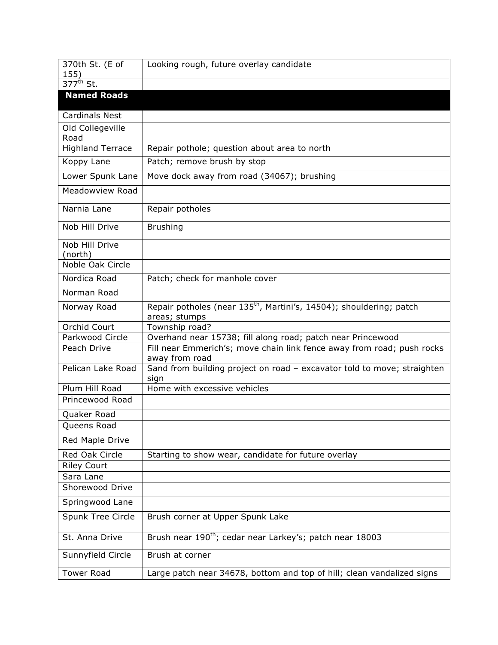| 370th St. (E of               | Looking rough, future overlay candidate                                                  |
|-------------------------------|------------------------------------------------------------------------------------------|
| 155)<br>$377^{\text{th}}$ St. |                                                                                          |
| <b>Named Roads</b>            |                                                                                          |
|                               |                                                                                          |
| <b>Cardinals Nest</b>         |                                                                                          |
| Old Collegeville              |                                                                                          |
| Road                          |                                                                                          |
| <b>Highland Terrace</b>       | Repair pothole; question about area to north                                             |
| Koppy Lane                    | Patch; remove brush by stop                                                              |
| Lower Spunk Lane              | Move dock away from road (34067); brushing                                               |
| Meadowview Road               |                                                                                          |
| Narnia Lane                   | Repair potholes                                                                          |
| Nob Hill Drive                | <b>Brushing</b>                                                                          |
| Nob Hill Drive<br>(north)     |                                                                                          |
| Noble Oak Circle              |                                                                                          |
| Nordica Road                  | Patch; check for manhole cover                                                           |
| Norman Road                   |                                                                                          |
|                               | Repair potholes (near 135 <sup>th</sup> , Martini's, 14504); shouldering; patch          |
| Norway Road                   | areas; stumps                                                                            |
| Orchid Court                  | Township road?                                                                           |
| Parkwood Circle               | Overhand near 15738; fill along road; patch near Princewood                              |
| Peach Drive                   | Fill near Emmerich's; move chain link fence away from road; push rocks<br>away from road |
| Pelican Lake Road             | Sand from building project on road - excavator told to move; straighten<br>sign          |
| Plum Hill Road                | Home with excessive vehicles                                                             |
| Princewood Road               |                                                                                          |
| Quaker Road                   |                                                                                          |
| Queens Road                   |                                                                                          |
| Red Maple Drive               |                                                                                          |
| Red Oak Circle                | Starting to show wear, candidate for future overlay                                      |
| <b>Riley Court</b>            |                                                                                          |
| Sara Lane                     |                                                                                          |
| Shorewood Drive               |                                                                                          |
| Springwood Lane               |                                                                                          |
| Spunk Tree Circle             | Brush corner at Upper Spunk Lake                                                         |
| St. Anna Drive                | Brush near 190 <sup>th</sup> ; cedar near Larkey's; patch near 18003                     |
| Sunnyfield Circle             | Brush at corner                                                                          |
| <b>Tower Road</b>             | Large patch near 34678, bottom and top of hill; clean vandalized signs                   |